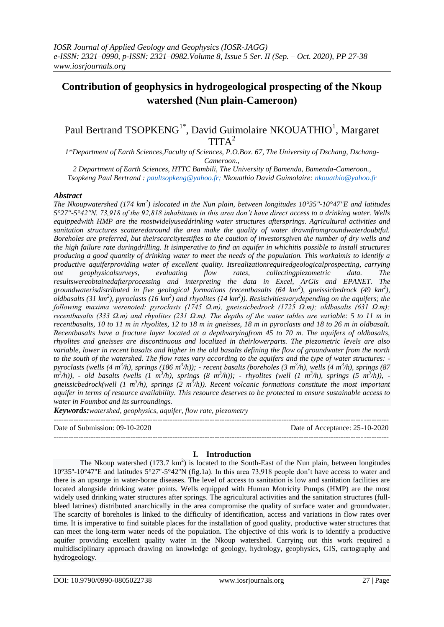### Paul Bertrand TSOPKENG<sup>1\*</sup>, David Guimolaire NKOUATHIO<sup>1</sup>, Margaret  $TITA<sup>2</sup>$

*1\*Department of Earth Sciences,Faculty of Sciences, P.O.Box. 67, The University of Dschang, Dschang-Cameroon.,*

*2 Department of Earth Sciences, HTTC Bambili, The University of Bamenda, Bamenda-Cameroon., Tsopkeng Paul Bertrand : [paultsopkeng@yahoo.fr;](mailto:paultsopkeng@yahoo.fr) Nkouathio David Guimolaire: [nkouathio@yahoo.fr](mailto:nkouathio@yahoo.fr)*

#### *Abstract*

*The Nkoupwatershed (174 km<sup>2</sup> ) islocated in the Nun plain, between longitudes 10°35''-10°47''E and latitudes 5°27''-5°42''N. 73,918 of the 92,818 inhabitants in this area don't have direct access to a drinking water. Wells equippedwith HMP are the mostwidelyuseddrinking water structures aftersprings. Agricultural activities and sanitation structures scatteredaround the area make the quality of water drawnfromgroundwaterdoubtful. Boreholes are preferred, but theirscarcitytestifies to the caution of investorsgiven the number of dry wells and the high failure rate duringdrilling. It isimperative to find an aquifer in whichitis possible to install structures producing a good quantity of drinking water to meet the needs of the population. This workaimis to identify a productive aquiferproviding water of excellent quality. Itsrealizationrequiredgeologicalprospecting, carrying out geophysicalsurveys, evaluating flow rates, collectingpiezometric data. The resultswereobtainedafterprocessing and interpreting the data in Excel, ArGis and EPANET. The groundwaterisdistributed in five geological formations (recentbasalts (64 km<sup>2</sup> ), gneissicbedrock (49 km<sup>2</sup> ), oldbasalts (31 km<sup>2</sup> ), pyroclasts (16 km<sup>2</sup> ) and rhyolites (14 km<sup>2</sup> )). Resistivitiesvarydepending on the aquifers; the following maxima werenoted: pyroclasts (1745 Ω.m), gneissicbedrock (1725 Ω.m); oldbasalts (631 Ω.m); recentbasalts (333 Ω.m) and rhyolites (231 Ω.m). The depths of the water tables are variable: 5 to 11 m in recentbasalts, 10 to 11 m in rhyolites, 12 to 18 m in gneisses, 18 m in pyroclasts and 18 to 26 m in oldbasalt. Recentbasalts have a fracture layer located at a depthvaryingfrom 45 to 70 m. The aquifers of oldbasalts, rhyolites and gneisses are discontinuous and localized in theirlowerparts. The piezometric levels are also variable, lower in recent basalts and higher in the old basalts defining the flow of groundwater from the north to the south of the watershed. The flow rates vary according to the aquifers and the type of water structures: pyroclasts (wells (4 m<sup>3</sup> /h), springs (186 m<sup>3</sup> /h)); - recent basalts (boreholes (3 m<sup>3</sup> /h), wells (4 m<sup>3</sup> /h), springs (87 m 3 /h)), - old basalts (wells (1 m<sup>3</sup> /h), springs (8 m<sup>3</sup> /h)); - rhyolites (well (1 m<sup>3</sup> /h), springs (5 m<sup>3</sup> /h)),*  gneissicbedrock(well  $(1 \text{ m}^3/h)$ , springs  $(2 \text{ m}^3/h)$ ). Recent volcanic formations constitute the most important *aquifer in terms of resource availability. This resource deserves to be protected to ensure sustainable access to water in Foumbot and its surroundings.*

*Keywords:watershed, geophysics, aquifer, flow rate, piezometry*

--------------------------------------------------------------------------------------------------------------------------------------- Date of Submission: 09-10-2020 Date of Acceptance: 25-10-2020

#### **I. Introduction**

---------------------------------------------------------------------------------------------------------------------------------------

The Nkoup watershed  $(173.7 \text{ km}^2)$  is located to the South-East of the Nun plain, between longitudes 10°35''-10°47''E and latitudes 5°27''-5°42''N (fig.1a). In this area 73,918 people don't have access to water and there is an upsurge in water-borne diseases. The level of access to sanitation is low and sanitation facilities are located alongside drinking water points. Wells equipped with Human Motricity Pumps (HMP) are the most widely used drinking water structures after springs. The agricultural activities and the sanitation structures (fullbleed latrines) distributed anarchically in the area compromise the quality of surface water and groundwater. The scarcity of boreholes is linked to the difficulty of identification, access and variations in flow rates over time. It is imperative to find suitable places for the installation of good quality, productive water structures that can meet the long-term water needs of the population. The objective of this work is to identify a productive aquifer providing excellent quality water in the Nkoup watershed. Carrying out this work required a multidisciplinary approach drawing on knowledge of geology, hydrology, geophysics, GIS, cartography and hydrogeology.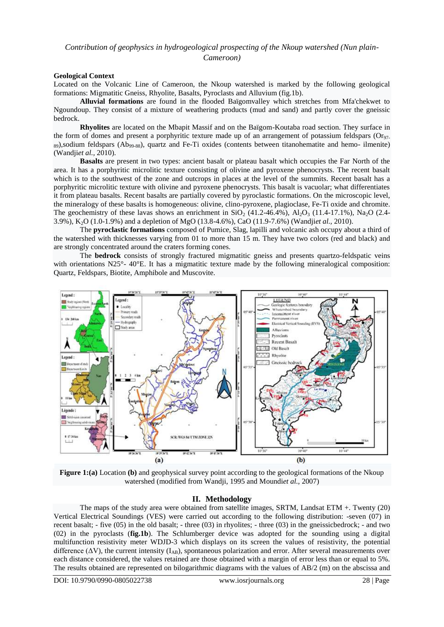*Cameroon)*

#### **Geological Context**

Located on the Volcanic Line of Cameroon, the Nkoup watershed is marked by the following geological formations: Migmatitic Gneiss, Rhyolite, Basalts, Pyroclasts and Alluvium (fig.1b).

**Alluvial formations** are found in the flooded Baïgomvalley which stretches from Mfa'chekwet to Ngoundoup. They consist of a mixture of weathering products (mud and sand) and partly cover the gneissic bedrock.

**Rhyolites** are located on the Mbapit Massif and on the Baïgom-Koutaba road section. They surface in the form of domes and present a porphyritic texture made up of an arrangement of potassium feldspars ( $Or_{97}$ ) <sup>89</sup>),sodium feldspars (Ab99-88), quartz and Fe-Ti oxides (contents between titanohematite and hemo- ilmenite) (Wandji*et al.,* 2010).

**Basalts** are present in two types: ancient basalt or plateau basalt which occupies the Far North of the area. It has a porphyritic microlitic texture consisting of olivine and pyroxene phenocrysts. The recent basalt which is to the southwest of the zone and outcrops in places at the level of the summits. Recent basalt has a porphyritic microlitic texture with olivine and pyroxene phenocrysts. This basalt is vacuolar; what differentiates it from plateau basalts. Recent basalts are partially covered by pyroclastic formations. On the microscopic level, the mineralogy of these basalts is homogeneous: olivine, clino-pyroxene, plagioclase, Fe-Ti oxide and chromite. The geochemistry of these lavas shows an enrichment in  $SiO_2$  (41.2-46.4%), Al<sub>2</sub>O<sub>3</sub> (11.4-17.1%), Na<sub>2</sub>O (2.4-3.9%), K2O (1.0-1.9%) and a depletion of MgO (13.8-4.6%), CaO (11.9-7.6%) (Wandji*et al.,* 2010).

The **pyroclastic formations** composed of Pumice, Slag, lapilli and volcanic ash occupy about a third of the watershed with thicknesses varying from 01 to more than 15 m. They have two colors (red and black) and are strongly concentrated around the craters forming cones.

The **bedrock** consists of strongly fractured migmatitic gneiss and presents quartzo-feldspatic veins with orientations N25°- 40°E. It has a migmatitic texture made by the following mineralogical composition: Quartz, Feldspars, Biotite, Amphibole and Muscovite.



**Figure 1:(a)** Location **(b)** and geophysical survey point according to the geological formations of the Nkoup watershed (modified from Wandji, 1995 and Moundi*et al.,* 2007)

#### **II. Methodology**

The maps of the study area were obtained from satellite images, SRTM, Landsat ETM +. Twenty (20) Vertical Electrical Soundings (VES) were carried out according to the following distribution: -seven (07) in recent basalt; - five (05) in the old basalt; - three (03) in rhyolites; - three (03) in the gneissicbedrock; - and two (02) in the pyroclasts (**fig.1b**). The Schlumberger device was adopted for the sounding using a digital multifunction resistivity meter WDJD-3 which displays on its screen the values of resistivity, the potential difference ( $\Delta V$ ), the current intensity ( $I_{AB}$ ), spontaneous polarization and error. After several measurements over each distance considered, the values retained are those obtained with a margin of error less than or equal to 5%. The results obtained are represented on bilogarithmic diagrams with the values of AB/2 (m) on the abscissa and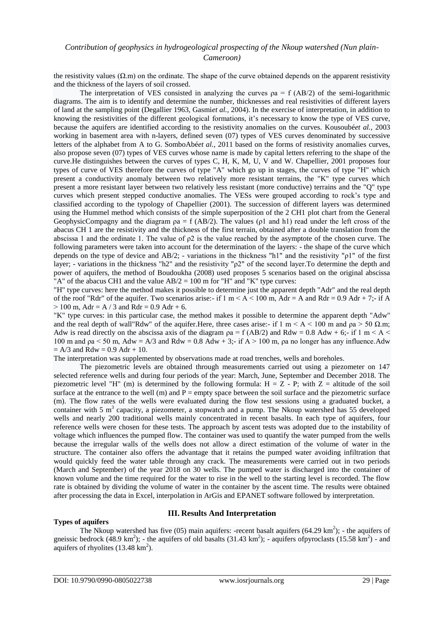*Cameroon)*

the resistivity values  $(\Omega, m)$  on the ordinate. The shape of the curve obtained depends on the apparent resistivity and the thickness of the layers of soil crossed.

The interpretation of VES consisted in analyzing the curves  $pa = f(AB/2)$  of the semi-logarithmic diagrams. The aim is to identify and determine the number, thicknesses and real resistivities of different layers of land at the sampling point (Degallier 1963, Gasmi*et al.,* 2004). In the exercise of interpretation, in addition to knowing the resistivities of the different geological formations, it's necessary to know the type of VES curve, because the aquifers are identified according to the resistivity anomalies on the curves. Kousoubé*et al.,* 2003 working in basement area with n-layers, defined seven (07) types of VES curves denominated by successive letters of the alphabet from A to G. SomboAbé*et al.,* 2011 based on the forms of resistivity anomalies curves, also propose seven (07) types of VES curves whose name is made by capital letters referring to the shape of the curve.He distinguishes between the curves of types C, H, K, M, U, V and W. Chapellier, 2001 proposes four types of curve of VES therefore the curves of type "A" which go up in stages, the curves of type "H" which present a conductivity anomaly between two relatively more resistant terrains, the "K" type curves which present a more resistant layer between two relatively less resistant (more conductive) terrains and the "Q" type curves which present stepped conductive anomalies. The VESs were grouped according to rock's type and classified according to the typology of Chapellier (2001). The succession of different layers was determined using the Hummel method which consists of the simple superposition of the 2 CH1 plot chart from the General GeophysicCompagny and the diagram  $pa = f (AB/2)$ . The values ( $p1$  and  $h1$ ) read under the left cross of the abacus CH 1 are the resistivity and the thickness of the first terrain, obtained after a double translation from the abscissa 1 and the ordinate 1. The value of  $\rho$ 2 is the value reached by the asymptote of the chosen curve. The following parameters were taken into account for the determination of the layers: - the shape of the curve which depends on the type of device and AB/2; - variations in the thickness "h1" and the resistivity "ρ1" of the first layer; - variations in the thickness "h2" and the resistivity "ρ2" of the second layer.To determine the depth and power of aquifers, the method of Boudoukha (2008) used proposes 5 scenarios based on the original abscissa "A" of the abacus CH1 and the value  $AB/2 = 100$  m for "H" and "K" type curves:

"H" type curves: here the method makes it possible to determine just the apparent depth "Adr" and the real depth of the roof "Rdr" of the aquifer. Two scenarios arise:- if  $1 \text{ m} < A < 100 \text{ m}$ , Adr = A and Rdr = 0.9 Adr + 7:- if A  $> 100$  m, Adr = A / 3 and Rdr = 0.9 Adr + 6.

"K" type curves: in this particular case, the method makes it possible to determine the apparent depth "Adw" and the real depth of wall"Rdw" of the aquifer. Here, three cases arise:- if  $1 \text{ m} < A < 100 \text{ m}$  and  $\rho a > 50 \Omega \text{ m}$ ; Adw is read directly on the abscissa axis of the diagram  $pa = f(AB/2)$  and  $Rdw = 0.8$  Adw + 6;- if 1 m < A  $\lt$ 100 m and  $pa < 50$  m, Adw = A/3 and Rdw = 0.8 Adw + 3;- if A  $> 100$  m,  $pa$  no longer has any influence. Adw  $= A/3$  and Rdw = 0.9 Adr + 10.

The interpretation was supplemented by observations made at road trenches, wells and boreholes.

The piezometric levels are obtained through measurements carried out using a piezometer on 147 selected reference wells and during four periods of the year: March, June, September and December 2018. The piezometric level "H" (m) is determined by the following formula:  $H = Z - P$ ; with  $Z =$  altitude of the soil surface at the entrance to the well  $(m)$  and  $P =$  empty space between the soil surface and the piezometric surface (m). The flow rates of the wells were evaluated during the flow test sessions using a graduated bucket, a container with 5  $m<sup>3</sup>$  capacity, a piezometer, a stopwatch and a pump. The Nkoup watershed has 55 developed wells and nearly 200 traditional wells mainly concentrated in recent basalts. In each type of aquifers, four reference wells were chosen for these tests. The approach by ascent tests was adopted due to the instability of voltage which influences the pumped flow. The container was used to quantify the water pumped from the wells because the irregular walls of the wells does not allow a direct estimation of the volume of water in the structure. The container also offers the advantage that it retains the pumped water avoiding infiltration that would quickly feed the water table through any crack. The measurements were carried out in two periods (March and September) of the year 2018 on 30 wells. The pumped water is discharged into the container of known volume and the time required for the water to rise in the well to the starting level is recorded. The flow rate is obtained by dividing the volume of water in the container by the ascent time. The results were obtained after processing the data in Excel, interpolation in ArGis and EPANET software followed by interpretation.

#### **Types of aquifers**

#### **III. Results And Interpretation**

The Nkoup watershed has five (05) main aquifers: -recent basalt aquifers (64.29 km<sup>2</sup>); - the aquifers of gneissic bedrock  $(48.9 \text{ km}^2)$ ; - the aquifers of old basalts  $(31.43 \text{ km}^2)$ ; - aquifers ofpyroclasts  $(15.58 \text{ km}^2)$  - and aquifers of rhyolites  $(13.48 \text{ km}^2)$ .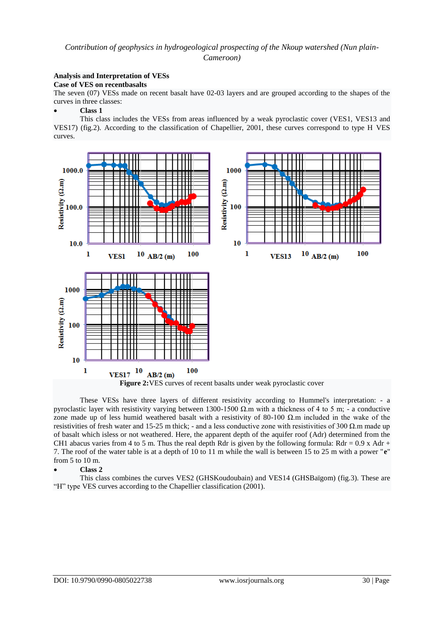*Cameroon)*

#### **Analysis and Interpretation of VESs**

#### **Case of VES on recentbasalts**

The seven (07) VESs made on recent basalt have 02-03 layers and are grouped according to the shapes of the curves in three classes:

#### **Class 1**

This class includes the VESs from areas influenced by a weak pyroclastic cover (VES1, VES13 and VES17) (fig.2). According to the classification of Chapellier, 2001, these curves correspond to type H VES curves.



These VESs have three layers of different resistivity according to Hummel's interpretation: - a pyroclastic layer with resistivity varying between 1300-1500 Ω.m with a thickness of 4 to 5 m; - a conductive zone made up of less humid weathered basalt with a resistivity of 80-100  $\Omega$  m included in the wake of the resistivities of fresh water and 15-25 m thick; - and a less conductive zone with resistivities of 300  $\Omega$  m made up of basalt which isless or not weathered. Here, the apparent depth of the aquifer roof (Adr) determined from the CH1 abacus varies from 4 to 5 m. Thus the real depth Rdr is given by the following formula:  $Rdr = 0.9$  x Adr + 7. The roof of the water table is at a depth of 10 to 11 m while the wall is between 15 to 25 m with a power "**e**" from 5 to 10 m.

#### **Class 2**

This class combines the curves VES2 (GHSKoudoubain) and VES14 (GHSBaïgom) (fig.3). These are "H" type VES curves according to the Chapellier classification (2001).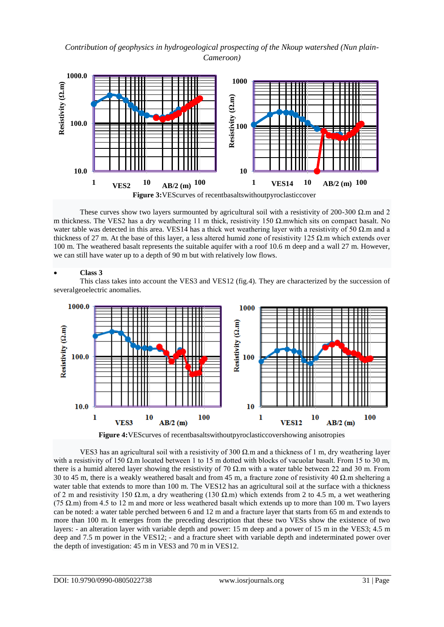*Contribution of geophysics in hydrogeological prospecting of the Nkoup watershed (Nun plain-Cameroon)*



These curves show two layers surmounted by agricultural soil with a resistivity of 200-300  $\Omega$ .m and 2 m thickness. The VES2 has a dry weathering 11 m thick, resistivity 150  $Ω$ , mwhich sits on compact basalt. No water table was detected in this area. VES14 has a thick wet weathering layer with a resistivity of 50  $\Omega$ .m and a thickness of 27 m. At the base of this layer, a less altered humid zone of resistivity 125 Ω.m which extends over 100 m. The weathered basalt represents the suitable aquifer with a roof 10.6 m deep and a wall 27 m. However, we can still have water up to a depth of 90 m but with relatively low flows.

#### **Class 3**

This class takes into account the VES3 and VES12 (fig.4). They are characterized by the succession of severalgeoelectric anomalies.



**Figure 4:**VEScurves of recentbasaltswithoutpyroclasticcovershowing anisotropies

VES3 has an agricultural soil with a resistivity of 300  $Ω$ .m and a thickness of 1 m, dry weathering layer with a resistivity of 150  $\Omega$ .m located between 1 to 15 m dotted with blocks of vacuolar basalt. From 15 to 30 m, there is a humid altered layer showing the resistivity of 70  $\Omega$ .m with a water table between 22 and 30 m. From 30 to 45 m, there is a weakly weathered basalt and from 45 m, a fracture zone of resistivity 40  $\Omega$ .m sheltering a water table that extends to more than 100 m. The VES12 has an agricultural soil at the surface with a thickness of 2 m and resistivity 150  $\Omega$ .m, a dry weathering (130  $\Omega$ .m) which extends from 2 to 4.5 m, a wet weathering (75  $\Omega$ .m) from 4.5 to 12 m and more or less weathered basalt which extends up to more than 100 m. Two layers can be noted: a water table perched between 6 and 12 m and a fracture layer that starts from 65 m and extends to more than 100 m. It emerges from the preceding description that these two VESs show the existence of two layers: - an alteration layer with variable depth and power: 15 m deep and a power of 15 m in the VES3; 4.5 m deep and 7.5 m power in the VES12; - and a fracture sheet with variable depth and indeterminated power over the depth of investigation: 45 m in VES3 and 70 m in VES12.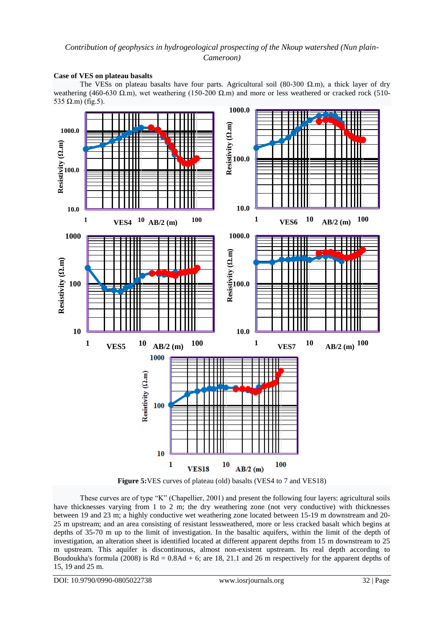*Cameroon)*

#### **Case of VES on plateau basalts**

The VESs on plateau basalts have four parts. Agricultural soil (80-300  $\Omega$ .m), a thick layer of dry weathering (460-630 Ω.m), wet weathering (150-200 Ω.m) and more or less weathered or cracked rock (510-535  $Ω.m$ ) (fig.5).





These curves are of type "K" (Chapellier, 2001) and present the following four layers: agricultural soils have thicknesses varying from 1 to 2 m; the dry weathering zone (not very conductive) with thicknesses between 19 and 23 m; a highly conductive wet weathering zone located between 15-19 m downstream and 20- 25 m upstream; and an area consisting of resistant lessweathered, more or less cracked basalt which begins at depths of 35-70 m up to the limit of investigation. In the basaltic aquifers, within the limit of the depth of investigation, an alteration sheet is identified located at different apparent depths from 15 m downstream to 25 m upstream. This aquifer is discontinuous, almost non-existent upstream. Its real depth according to Boudoukha's formula (2008) is  $Rd = 0.8Ad + 6$ ; are 18, 21.1 and 26 m respectively for the apparent depths of 15, 19 and 25 m.

DOI: 10.9790/0990-0805022738 www.iosrjournals.org 32 | Page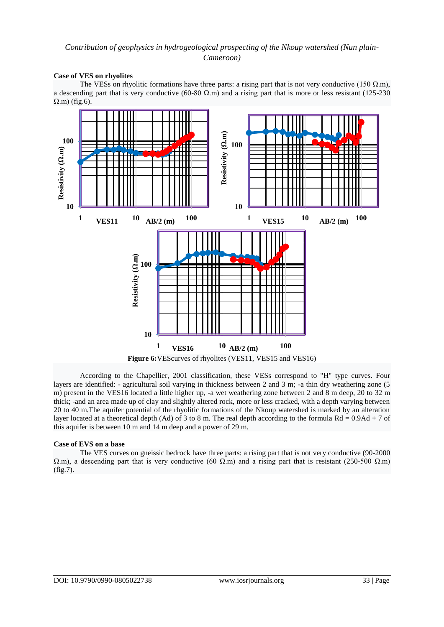*Cameroon)*

#### **Case of VES on rhyolites**

The VESs on rhyolitic formations have three parts: a rising part that is not very conductive (150  $\Omega$ .m), a descending part that is very conductive (60-80 Ω.m) and a rising part that is more or less resistant (125-230  $\Omega$ .m) (fig.6).





According to the Chapellier, 2001 classification, these VESs correspond to "H" type curves. Four layers are identified: - agricultural soil varying in thickness between 2 and 3 m; -a thin dry weathering zone (5 m) present in the VES16 located a little higher up, -a wet weathering zone between 2 and 8 m deep, 20 to 32 m thick; -and an area made up of clay and slightly altered rock, more or less cracked, with a depth varying between 20 to 40 m.The aquifer potential of the rhyolitic formations of the Nkoup watershed is marked by an alteration layer located at a theoretical depth (Ad) of 3 to 8 m. The real depth according to the formula  $Rd = 0.9Ad + 7$  of this aquifer is between 10 m and 14 m deep and a power of 29 m.

#### **Case of EVS on a base**

The VES curves on gneissic bedrock have three parts: a rising part that is not very conductive (90-2000  $Ω.m$ ), a descending part that is very conductive (60  $Ω.m$ ) and a rising part that is resistant (250-500  $Ω.m$ ) (fig.7).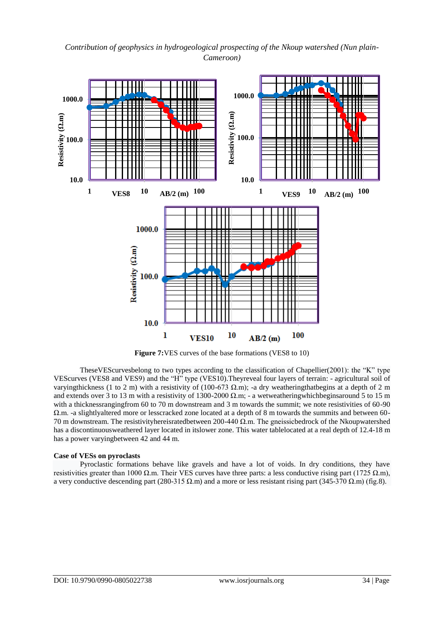*Contribution of geophysics in hydrogeological prospecting of the Nkoup watershed (Nun plain-Cameroon)*



**Figure 7:**VES curves of the base formations (VES8 to 10)

TheseVEScurvesbelong to two types according to the classification of Chapellier(2001): the "K" type VEScurves (VES8 and VES9) and the "H" type (VES10).Theyreveal four layers of terrain: - agricultural soil of varyingthickness (1 to 2 m) with a resistivity of (100-673  $\Omega$ .m); -a dry weatheringthatbegins at a depth of 2 m and extends over 3 to 13 m with a resistivity of 1300-2000  $\Omega$ .m; - a wetweatheringwhichbegins around 5 to 15 m with a thicknessrangingfrom 60 to 70 m downstream and 3 m towards the summit; we note resistivities of 60-90 Ω.m. -a slightlyaltered more or lesscracked zone located at a depth of 8 m towards the summits and between 60- 70 m downstream. The resistivityhereisratedbetween 200-440 Ω.m. The gneissicbedrock of the Nkoupwatershed has a discontinuousweathered layer located in itslower zone. This water tablelocated at a real depth of 12.4-18 m has a power varyingbetween 42 and 44 m.

#### **Case of VESs on pyroclasts**

Pyroclastic formations behave like gravels and have a lot of voids. In dry conditions, they have resistivities greater than 1000 Ω.m. Their VES curves have three parts: a less conductive rising part (1725 Ω.m), a very conductive descending part (280-315 Ω.m) and a more or less resistant rising part (345-370 Ω.m) (fig.8).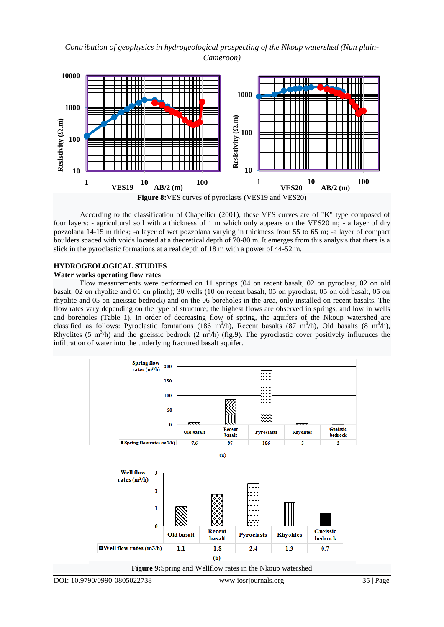*Contribution of geophysics in hydrogeological prospecting of the Nkoup watershed (Nun plain-Cameroon)*



According to the classification of Chapellier (2001), these VES curves are of "K" type composed of four layers: - agricultural soil with a thickness of 1 m which only appears on the VES20 m; - a layer of dry pozzolana 14-15 m thick; -a layer of wet pozzolana varying in thickness from 55 to 65 m; -a layer of compact boulders spaced with voids located at a theoretical depth of 70-80 m. It emerges from this analysis that there is a slick in the pyroclastic formations at a real depth of 18 m with a power of 44-52 m.

#### **HYDROGEOLOGICAL STUDIES Water works operating flow rates**

Flow measurements were performed on 11 springs (04 on recent basalt, 02 on pyroclast, 02 on old basalt, 02 on rhyolite and 01 on plinth); 30 wells (10 on recent basalt, 05 on pyroclast, 05 on old basalt, 05 on rhyolite and 05 on gneissic bedrock) and on the 06 boreholes in the area, only installed on recent basalts. The flow rates vary depending on the type of structure; the highest flows are observed in springs, and low in wells and boreholes (Table 1). In order of decreasing flow of spring, the aquifers of the Nkoup watershed are classified as follows: Pyroclastic formations (186 m<sup>3</sup>/h), Recent basalts (87 m<sup>3</sup>/h), Old basalts (8 m<sup>3</sup>/h), Rhyolites (5 m<sup>3</sup>/h) and the gneissic bedrock (2 m<sup>3</sup>/h) (fig.9). The pyroclastic cover positively influences the infiltration of water into the underlying fractured basalt aquifer.

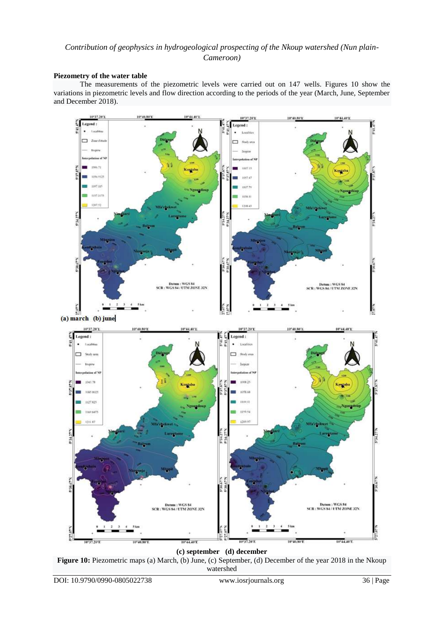#### *Cameroon)*

#### **Piezometry of the water table**

The measurements of the piezometric levels were carried out on 147 wells. Figures 10 show the variations in piezometric levels and flow direction according to the periods of the year (March, June, September and December 2018).



**(c) september (d) december**

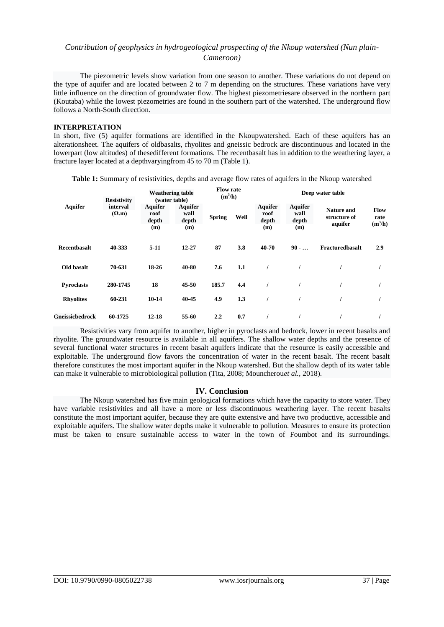The piezometric levels show variation from one season to another. These variations do not depend on the type of aquifer and are located between 2 to 7 m depending on the structures. These variations have very little influence on the direction of groundwater flow. The highest piezometriesare observed in the northern part (Koutaba) while the lowest piezometries are found in the southern part of the watershed. The underground flow follows a North-South direction.

#### **INTERPRETATION**

In short, five (5) aquifer formations are identified in the Nkoupwatershed. Each of these aquifers has an alterationsheet. The aquifers of oldbasalts, rhyolites and gneissic bedrock are discontinuous and located in the lowerpart (low altitudes) of thesedifferent formations. The recentbasalt has in addition to the weathering layer, a fracture layer located at a depthvaryingfrom 45 to 70 m (Table 1).

**Table 1:** Summary of resistivities, depths and average flow rates of aquifers in the Nkoup watershed

| <b>Aquifer</b>    | <b>Resistivity</b>        |                                        | <b>Weathering table</b><br>(water table) | <b>Flow rate</b><br>$(m^3/h)$ |      | Deep water table                       |                                        |                                       |                                  |  |  |  |
|-------------------|---------------------------|----------------------------------------|------------------------------------------|-------------------------------|------|----------------------------------------|----------------------------------------|---------------------------------------|----------------------------------|--|--|--|
|                   | interval<br>$(\Omega, m)$ | <b>Aquifer</b><br>roof<br>depth<br>(m) | <b>Aquifer</b><br>wall<br>depth<br>(m)   | <b>Spring</b>                 | Well | <b>Aquifer</b><br>roof<br>depth<br>(m) | <b>Aquifer</b><br>wall<br>depth<br>(m) | Nature and<br>structure of<br>aquifer | <b>Flow</b><br>rate<br>$(m^3/h)$ |  |  |  |
| Recentbasalt      | 40-333                    | $5-11$                                 | $12 - 27$                                | 87                            | 3.8  | 40-70                                  | $90 - $                                | <b>Fracturedbasalt</b>                | 2.9                              |  |  |  |
| Old basalt        | 70-631                    | 18-26                                  | 40-80                                    | 7.6                           | 1.1  |                                        |                                        |                                       |                                  |  |  |  |
| <b>Pyroclasts</b> | 280-1745                  | 18                                     | 45-50                                    | 185.7                         | 4.4  |                                        |                                        |                                       |                                  |  |  |  |
| <b>Rhyolites</b>  | 60-231                    | $10-14$                                | 40-45                                    | 4.9                           | 1.3  |                                        |                                        |                                       |                                  |  |  |  |
| Gneissicbedrock   | 60-1725                   | $12 - 18$                              | 55-60                                    | 2.2                           | 0.7  |                                        |                                        |                                       |                                  |  |  |  |

Resistivities vary from aquifer to another, higher in pyroclasts and bedrock, lower in recent basalts and rhyolite. The groundwater resource is available in all aquifers. The shallow water depths and the presence of several functional water structures in recent basalt aquifers indicate that the resource is easily accessible and exploitable. The underground flow favors the concentration of water in the recent basalt. The recent basalt therefore constitutes the most important aquifer in the Nkoup watershed. But the shallow depth of its water table can make it vulnerable to microbiological pollution (Tita, 2008; Mouncherou*et al.,* 2018).

#### **IV. Conclusion**

The Nkoup watershed has five main geological formations which have the capacity to store water. They have variable resistivities and all have a more or less discontinuous weathering layer. The recent basalts constitute the most important aquifer, because they are quite extensive and have two productive, accessible and exploitable aquifers. The shallow water depths make it vulnerable to pollution. Measures to ensure its protection must be taken to ensure sustainable access to water in the town of Foumbot and its surroundings.